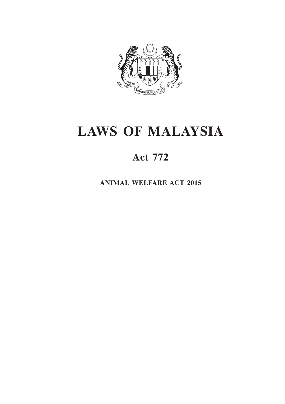

# **LAWS OF MALAYSIA**

# **Act 772**

**ANIMAL WELFARE ACT 2015**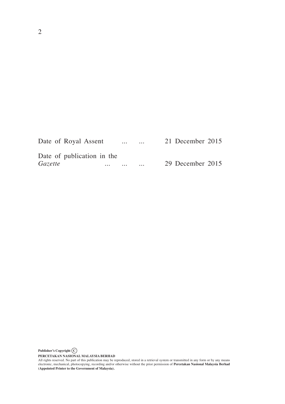| Date of Royal Assent                         |          | $\cdots$ | $\cdots$  | 21 December 2015 |
|----------------------------------------------|----------|----------|-----------|------------------|
| Date of publication in the<br><i>Gazette</i> | $\cdots$ | $\cdots$ | $\ddotsc$ | 29 December 2015 |

**Publisher's Copyright C**

PERCETAKAN NASIONAL MALAYSIA BERHAD<br>All rights reserved. No part of this publication may be reproduced, stored in a retrieval system or transmitted in any form or by any means<br>electronic, mechanical, photocopying, recordin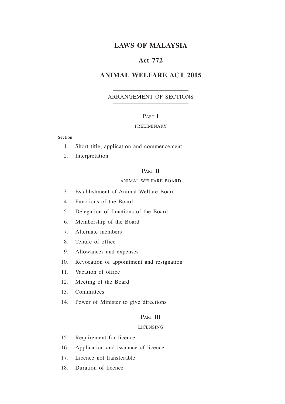# **LAWS OF MALAYSIA**

# **Act 772**

# **ANIMAL WELFARE ACT 2015**

# ARRANGEMENT OF SECTIONS

#### PART I

#### PRELIMINARY

#### Section

- 1. Short title, application and commencement
- 2. Interpretation

#### PART II

#### ANIMAL WELFARE BOARD

- 3. Establishment of Animal Welfare Board
- 4. Functions of the Board
- 5. Delegation of functions of the Board
- 6. Membership of the Board
- 7. Alternate members
- 8. Tenure of office
- 9. Allowances and expenses
- 10. Revocation of appointment and resignation
- 11. Vacation of office
- 12. Meeting of the Board
- 13. Committees
- 14. Power of Minister to give directions

### PART III

#### LICENSING

- 15. Requirement for licence
- 16. Application and issuance of licence
- 17. Licence not transferable
- 18. Duration of licence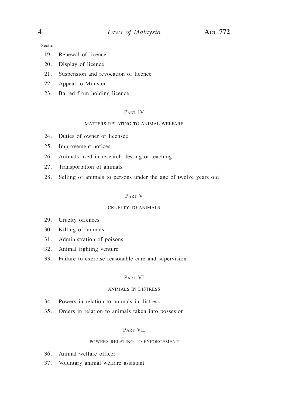Section

- 19. Renewal of licence
- 20. Display of licence
- 21. Suspension and revocation of licence
- 22. Appeal to Minister
- 23. Barred from holding licence

# Part IV

#### MATTERS RELATING TO ANIMAL WELFARE

- 24. Duties of owner or licensee
- 25. Improvement notices
- 26. Animals used in research, testing or teaching
- 27. Transportation of animals
- 28. Selling of animals to persons under the age of twelve years old

#### Part V

#### CRUELTY TO ANIMALS

- 29. Cruelty offences
- 30. Killing of animals
- 31. Administration of poisons
- 32. Animal fighting venture
- 33. Failure to exercise reasonable care and supervision

#### Part VI

#### ANIMALS IN DISTRESS

- 34. Powers in relation to animals in distress
- 35. Orders in relation to animals taken into possesion

#### Part VII

#### POWERS RELATING TO ENFORCEMENT

- 36. Animal welfare officer
- 37. Voluntary animal welfare assistant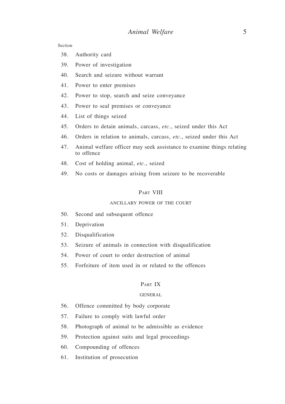Section

- 38. Authority card
- 39. Power of investigation
- 40. Search and seizure without warrant
- 41. Power to enter premises
- 42. Power to stop, search and seize conveyance
- 43. Power to seal premises or conveyance
- 44. List of things seized
- 45. Orders to detain animals, carcass, *etc.*, seized under this Act
- 46. Orders in relation to animals, carcass, *etc.*, seized under this Act
- 47. Animal welfare officer may seek assistance to examine things relating to offence
- 48. Cost of holding animal, *etc*., seized
- 49. No costs or damages arising from seizure to be recoverable

#### Part VIII

#### ANCILLARY POWER OF THE COURT

- 50. Second and subsequent offence
- 51. Deprivation
- 52. Disqualification
- 53. Seizure of animals in connection with disqualification
- 54. Power of court to order destruction of animal
- 55. Forfeiture of item used in or related to the offences

#### PART IX

#### GENERAL

- 56. Offence committed by body corporate
- 57. Failure to comply with lawful order
- 58. Photograph of animal to be admissible as evidence
- 59. Protection against suits and legal proceedings
- 60. Compounding of offences
- 61. Institution of prosecution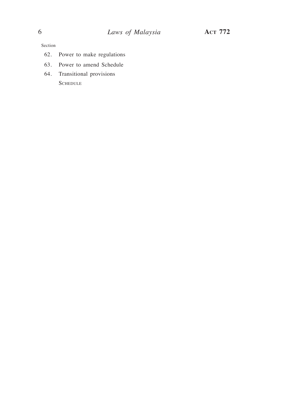Section

- 62. Power to make regulations
- 63. Power to amend Schedule
- 64. Transitional provisions **SCHEDULE**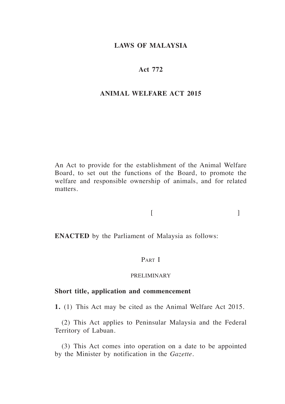# **LAWS OF MALAYSIA**

# **Act 772**

#### **ANIMAL WELFARE ACT 2015**

An Act to provide for the establishment of the Animal Welfare Board, to set out the functions of the Board, to promote the welfare and responsible ownership of animals, and for related matters.

# $[$

**ENACTED** by the Parliament of Malaysia as follows:

# PART I

#### PRELIMINARY

# **Short title, application and commencement**

**1.** (1) This Act may be cited as the Animal Welfare Act 2015.

(2) This Act applies to Peninsular Malaysia and the Federal Territory of Labuan.

(3) This Act comes into operation on a date to be appointed by the Minister by notification in the *Gazette*.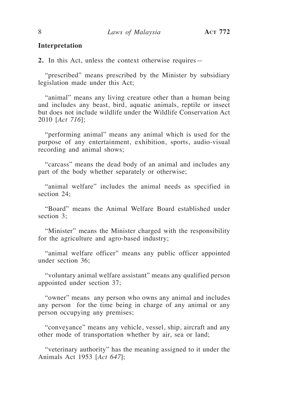### **Interpretation**

**2.** In this Act, unless the context otherwise requires—

"prescribed" means prescribed by the Minister by subsidiary legislation made under this Act;

"animal" means any living creature other than a human being and includes any beast, bird, aquatic animals, reptile or insect but does not include wildlife under the Wildlife Conservation Act 2010 [*Act 716*];

"performing animal" means any animal which is used for the purpose of any entertainment, exhibition, sports, audio-visual recording and animal shows;

"carcass" means the dead body of an animal and includes any part of the body whether separately or otherwise;

"animal welfare" includes the animal needs as specified in section 24;

"Board" means the Animal Welfare Board established under section 3;

"Minister" means the Minister charged with the responsibility for the agriculture and agro-based industry;

"animal welfare officer" means any public officer appointed under section 36;

"voluntary animal welfare assistant" means any qualified person appointed under section 37;

"owner" means any person who owns any animal and includes any person for the time being in charge of any animal or any person occupying any premises;

"conveyance" means any vehicle, vessel, ship, aircraft and any other mode of transportation whether by air, sea or land;

"veterinary authority" has the meaning assigned to it under the Animals Act 1953 [*Act 647*];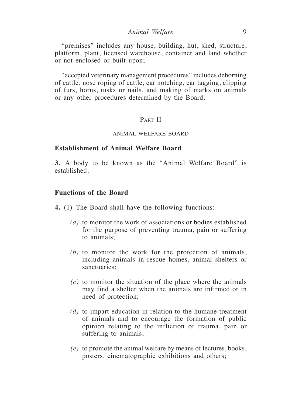"premises" includes any house, building, hut, shed, structure, platform, plant, licensed warehouse, container and land whether or not enclosed or built upon;

"accepted veterinary management procedures" includes dehorning of cattle, nose roping of cattle, ear notching, ear tagging, clipping of furs, horns, tusks or nails, and making of marks on animals or any other procedures determined by the Board.

# PART II

#### ANIMAL WELFARE BOARD

#### **Establishment of Animal Welfare Board**

**3.** A body to be known as the "Animal Welfare Board" is established.

# **Functions of the Board**

**4.** (1) The Board shall have the following functions:

- *(a)* to monitor the work of associations or bodies established for the purpose of preventing trauma, pain or suffering to animals;
- *(b)* to monitor the work for the protection of animals, including animals in rescue homes, animal shelters or sanctuaries;
- *(c)* to monitor the situation of the place where the animals may find a shelter when the animals are infirmed or in need of protection;
- *(d)* to impart education in relation to the humane treatment of animals and to encourage the formation of public opinion relating to the infliction of trauma, pain or suffering to animals;
- *(e)* to promote the animal welfare by means of lectures, books, posters, cinematographic exhibitions and others;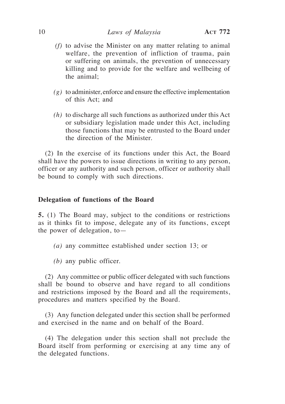#### 10 *Laws of Malaysia* **Act 772**

- *(f)* to advise the Minister on any matter relating to animal welfare, the prevention of infliction of trauma, pain or suffering on animals, the prevention of unnecessary killing and to provide for the welfare and wellbeing of the animal;
- *(g)* to administer, enforce and ensure the effective implementation of this Act; and
- *(h)* to discharge all such functions as authorized under this Act or subsidiary legislation made under this Act, including those functions that may be entrusted to the Board under the direction of the Minister.

(2) In the exercise of its functions under this Act, the Board shall have the powers to issue directions in writing to any person, officer or any authority and such person, officer or authority shall be bound to comply with such directions.

#### **Delegation of functions of the Board**

**5.** (1) The Board may, subject to the conditions or restrictions as it thinks fit to impose, delegate any of its functions, except the power of delegation, to—

- *(a)* any committee established under section 13; or
- *(b)* any public officer.

(2) Any committee or public officer delegated with such functions shall be bound to observe and have regard to all conditions and restrictions imposed by the Board and all the requirements, procedures and matters specified by the Board.

(3) Any function delegated under this section shall be performed and exercised in the name and on behalf of the Board.

(4) The delegation under this section shall not preclude the Board itself from performing or exercising at any time any of the delegated functions.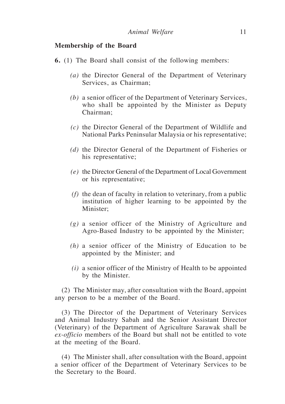#### **Membership of the Board**

- **6.** (1) The Board shall consist of the following members:
	- *(a)* the Director General of the Department of Veterinary Services, as Chairman;
	- *(b)* a senior officer of the Department of Veterinary Services, who shall be appointed by the Minister as Deputy Chairman;
	- *(c)* the Director General of the Department of Wildlife and National Parks Peninsular Malaysia or his representative;
	- *(d)* the Director General of the Department of Fisheries or his representative;
	- *(e)* the Director General of the Department of Local Government or his representative;
	- *(f)* the dean of faculty in relation to veterinary, from a public institution of higher learning to be appointed by the Minister<sup>.</sup>
	- *(g)* a senior officer of the Ministry of Agriculture and Agro-Based Industry to be appointed by the Minister;
	- *(h)* a senior officer of the Ministry of Education to be appointed by the Minister; and
	- *(i)* a senior officer of the Ministry of Health to be appointed by the Minister.

(2) The Minister may, after consultation with the Board, appoint any person to be a member of the Board.

(3) The Director of the Department of Veterinary Services and Animal Industry Sabah and the Senior Assistant Director (Veterinary) of the Department of Agriculture Sarawak shall be *ex-officio* members of the Board but shall not be entitled to vote at the meeting of the Board.

(4) The Minister shall, after consultation with the Board, appoint a senior officer of the Department of Veterinary Services to be the Secretary to the Board.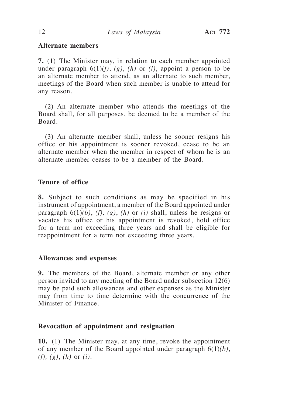# **Alternate members**

**7.** (1) The Minister may, in relation to each member appointed under paragraph  $6(1)(f)$ ,  $(g)$ ,  $(h)$  or  $(i)$ , appoint a person to be an alternate member to attend, as an alternate to such member, meetings of the Board when such member is unable to attend for any reason.

(2) An alternate member who attends the meetings of the Board shall, for all purposes, be deemed to be a member of the Board.

(3) An alternate member shall, unless he sooner resigns his office or his appointment is sooner revoked, cease to be an alternate member when the member in respect of whom he is an alternate member ceases to be a member of the Board.

# **Tenure of office**

**8.** Subject to such conditions as may be specified in his instrument of appointment, a member of the Board appointed under paragraph  $6(1)(b)$ ,  $(f)$ ,  $(g)$ ,  $(h)$  or  $(i)$  shall, unless he resigns or vacates his office or his appointment is revoked, hold office for a term not exceeding three years and shall be eligible for reappointment for a term not exceeding three years.

# **Allowances and expenses**

**9.** The members of the Board, alternate member or any other person invited to any meeting of the Board under subsection 12(6) may be paid such allowances and other expenses as the Minister may from time to time determine with the concurrence of the Minister of Finance.

# **Revocation of appointment and resignation**

**10.** (1) The Minister may, at any time, revoke the appointment of any member of the Board appointed under paragraph 6(1)*(b)*, *(f), (g)*, *(h)* or *(i)*.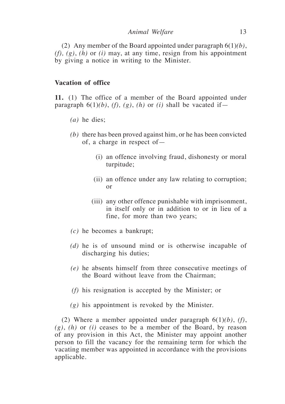(2) Any member of the Board appointed under paragraph 6(1)*(b)*, *(f), (g)*, *(h)* or *(i)* may, at any time, resign from his appointment by giving a notice in writing to the Minister.

# **Vacation of office**

**11.** (1) The office of a member of the Board appointed under paragraph  $6(1)(b)$ ,  $(f)$ ,  $(g)$ ,  $(h)$  or  $(i)$  shall be vacated if-

- *(a)* he dies;
- *(b)* there has been proved against him, or he has been convicted of, a charge in respect of—
	- (i) an offence involving fraud, dishonesty or moral turpitude;
	- (ii) an offence under any law relating to corruption; or
	- (iii) any other offence punishable with imprisonment, in itself only or in addition to or in lieu of a fine, for more than two years;
- *(c)* he becomes a bankrupt;
- *(d)* he is of unsound mind or is otherwise incapable of discharging his duties;
- *(e)* he absents himself from three consecutive meetings of the Board without leave from the Chairman;
- *(f)* his resignation is accepted by the Minister; or
- *(g)* his appointment is revoked by the Minister.

(2) Where a member appointed under paragraph 6(1)*(b)*, *(f)*, *(g)*, *(h)* or *(i)* ceases to be a member of the Board, by reason of any provision in this Act, the Minister may appoint another person to fill the vacancy for the remaining term for which the vacating member was appointed in accordance with the provisions applicable.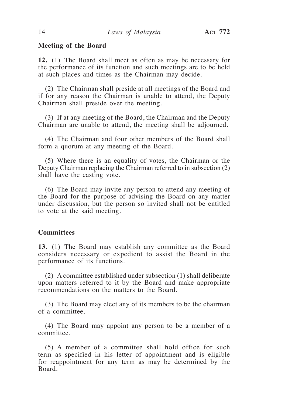#### **Meeting of the Board**

**12.** (1) The Board shall meet as often as may be necessary for the performance of its function and such meetings are to be held at such places and times as the Chairman may decide.

(2) The Chairman shall preside at all meetings of the Board and if for any reason the Chairman is unable to attend, the Deputy Chairman shall preside over the meeting.

(3) If at any meeting of the Board, the Chairman and the Deputy Chairman are unable to attend, the meeting shall be adjourned.

(4) The Chairman and four other members of the Board shall form a quorum at any meeting of the Board.

(5) Where there is an equality of votes, the Chairman or the Deputy Chairman replacing the Chairman referred to in subsection (2) shall have the casting vote.

(6) The Board may invite any person to attend any meeting of the Board for the purpose of advising the Board on any matter under discussion, but the person so invited shall not be entitled to vote at the said meeting.

# **Committees**

**13.** (1) The Board may establish any committee as the Board considers necessary or expedient to assist the Board in the performance of its functions.

(2) A committee established under subsection (1) shall deliberate upon matters referred to it by the Board and make appropriate recommendations on the matters to the Board.

(3) The Board may elect any of its members to be the chairman of a committee.

(4) The Board may appoint any person to be a member of a committee.

(5) A member of a committee shall hold office for such term as specified in his letter of appointment and is eligible for reappointment for any term as may be determined by the Board.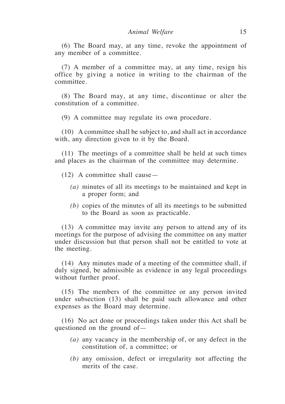(6) The Board may, at any time, revoke the appointment of any member of a committee.

(7) A member of a committee may, at any time, resign his office by giving a notice in writing to the chairman of the committee.

(8) The Board may, at any time, discontinue or alter the constitution of a committee.

(9) A committee may regulate its own procedure.

(10) A committee shall be subject to, and shall act in accordance with, any direction given to it by the Board.

(11) The meetings of a committee shall be held at such times and places as the chairman of the committee may determine.

- (12) A committee shall cause—
	- *(a)* minutes of all its meetings to be maintained and kept in a proper form; and
	- *(b)* copies of the minutes of all its meetings to be submitted to the Board as soon as practicable.

(13) A committee may invite any person to attend any of its meetings for the purpose of advising the committee on any matter under discussion but that person shall not be entitled to vote at the meeting.

(14) Any minutes made of a meeting of the committee shall, if duly signed, be admissible as evidence in any legal proceedings without further proof.

(15) The members of the committee or any person invited under subsection (13) shall be paid such allowance and other expenses as the Board may determine.

(16) No act done or proceedings taken under this Act shall be questioned on the ground of—

- *(a)* any vacancy in the membership of, or any defect in the constitution of, a committee; or
- *(b)* any omission, defect or irregularity not affecting the merits of the case.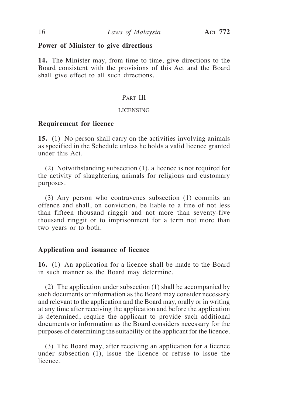#### **Power of Minister to give directions**

**14.** The Minister may, from time to time, give directions to the Board consistent with the provisions of this Act and the Board shall give effect to all such directions.

# PART III

#### LICENSING

#### **Requirement for licence**

**15.** (1) No person shall carry on the activities involving animals as specified in the Schedule unless he holds a valid licence granted under this Act.

(2) Notwithstanding subsection (1), a licence is not required for the activity of slaughtering animals for religious and customary purposes.

(3) Any person who contravenes subsection (1) commits an offence and shall, on conviction, be liable to a fine of not less than fifteen thousand ringgit and not more than seventy-five thousand ringgit or to imprisonment for a term not more than two years or to both.

#### **Application and issuance of licence**

**16.** (1) An application for a licence shall be made to the Board in such manner as the Board may determine.

(2) The application under subsection (1) shall be accompanied by such documents or information as the Board may consider necessary and relevant to the application and the Board may, orally or in writing at any time after receiving the application and before the application is determined, require the applicant to provide such additional documents or information as the Board considers necessary for the purposes of determining the suitability of the applicant for the licence.

(3) The Board may, after receiving an application for a licence under subsection (1), issue the licence or refuse to issue the licence.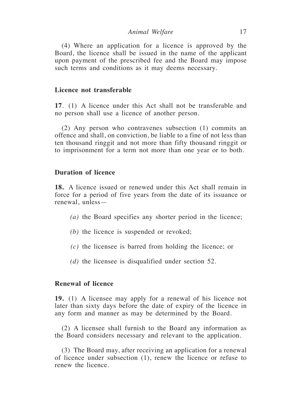*Animal Welfare* 17

(4) Where an application for a licence is approved by the Board, the licence shall be issued in the name of the applicant upon payment of the prescribed fee and the Board may impose such terms and conditions as it may deems necessary.

# **Licence not transferable**

**17**. (1) A licence under this Act shall not be transferable and no person shall use a licence of another person.

(2) Any person who contravenes subsection (1) commits an offence and shall, on conviction, be liable to a fine of not less than ten thousand ringgit and not more than fifty thousand ringgit or to imprisonment for a term not more than one year or to both.

# **Duration of licence**

**18.** A licence issued or renewed under this Act shall remain in force for a period of five years from the date of its issuance or renewal, unless—

- *(a)* the Board specifies any shorter period in the licence;
- *(b)* the licence is suspended or revoked;
- *(c)* the licensee is barred from holding the licence; or
- *(d)* the licensee is disqualified under section 52.

# **Renewal of licence**

**19.** (1) A licensee may apply for a renewal of his licence not later than sixty days before the date of expiry of the licence in any form and manner as may be determined by the Board.

(2) A licensee shall furnish to the Board any information as the Board considers necessary and relevant to the application.

(3) The Board may, after receiving an application for a renewal of licence under subsection (1), renew the licence or refuse to renew the licence.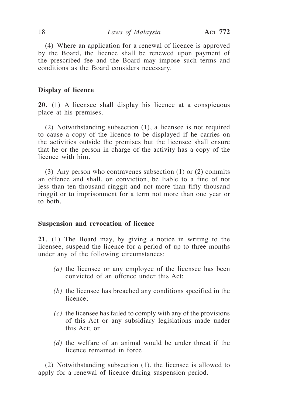(4) Where an application for a renewal of licence is approved by the Board, the licence shall be renewed upon payment of the prescribed fee and the Board may impose such terms and conditions as the Board considers necessary.

#### **Display of licence**

**20.** (1) A licensee shall display his licence at a conspicuous place at his premises.

(2) Notwithstanding subsection (1), a licensee is not required to cause a copy of the licence to be displayed if he carries on the activities outside the premises but the licensee shall ensure that he or the person in charge of the activity has a copy of the licence with him.

(3) Any person who contravenes subsection (1) or (2) commits an offence and shall, on conviction, be liable to a fine of not less than ten thousand ringgit and not more than fifty thousand ringgit or to imprisonment for a term not more than one year or to both.

# **Suspension and revocation of licence**

**21**. (1) The Board may, by giving a notice in writing to the licensee, suspend the licence for a period of up to three months under any of the following circumstances:

- *(a)* the licensee or any employee of the licensee has been convicted of an offence under this Act;
- *(b)* the licensee has breached any conditions specified in the licence;
- *(c)* the licensee has failed to comply with any of the provisions of this Act or any subsidiary legislations made under this Act; or
- *(d)* the welfare of an animal would be under threat if the licence remained in force.

(2) Notwithstanding subsection (1), the licensee is allowed to apply for a renewal of licence during suspension period.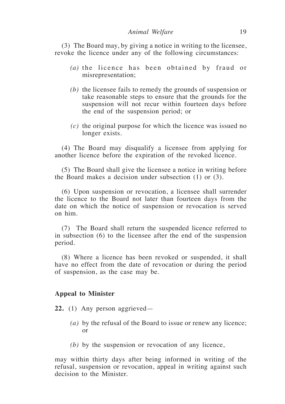#### *Animal Welfare* 19

(3) The Board may, by giving a notice in writing to the licensee, revoke the licence under any of the following circumstances:

- *(a)* the licence has been obtained by fraud or misrepresentation;
- *(b)* the licensee fails to remedy the grounds of suspension or take reasonable steps to ensure that the grounds for the suspension will not recur within fourteen days before the end of the suspension period; or
- *(c)* the original purpose for which the licence was issued no longer exists.

(4) The Board may disqualify a licensee from applying for another licence before the expiration of the revoked licence.

(5) The Board shall give the licensee a notice in writing before the Board makes a decision under subsection (1) or (3).

(6) Upon suspension or revocation, a licensee shall surrender the licence to the Board not later than fourteen days from the date on which the notice of suspension or revocation is served on him.

(7) The Board shall return the suspended licence referred to in subsection (6) to the licensee after the end of the suspension period.

(8) Where a licence has been revoked or suspended, it shall have no effect from the date of revocation or during the period of suspension, as the case may be.

#### **Appeal to Minister**

**22.** (1) Any person aggrieved—

- *(a)* by the refusal of the Board to issue or renew any licence; or
- *(b)* by the suspension or revocation of any licence,

may within thirty days after being informed in writing of the refusal, suspension or revocation, appeal in writing against such decision to the Minister.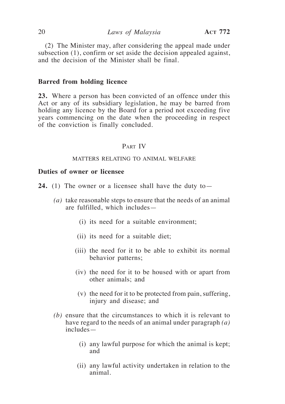(2) The Minister may, after considering the appeal made under subsection (1), confirm or set aside the decision appealed against, and the decision of the Minister shall be final.

#### **Barred from holding licence**

**23.** Where a person has been convicted of an offence under this Act or any of its subsidiary legislation, he may be barred from holding any licence by the Board for a period not exceeding five years commencing on the date when the proceeding in respect of the conviction is finally concluded.

#### PART IV

#### MATTERS RELATING TO ANIMAL WELFARE

### **Duties of owner or licensee**

- **24.** (1) The owner or a licensee shall have the duty to—
	- *(a)* take reasonable steps to ensure that the needs of an animal are fulfilled, which includes—
		- (i) its need for a suitable environment;
		- (ii) its need for a suitable diet;
		- (iii) the need for it to be able to exhibit its normal behavior patterns;
		- (iv) the need for it to be housed with or apart from other animals; and
		- (v) the need for it to be protected from pain, suffering, injury and disease; and
	- *(b)* ensure that the circumstances to which it is relevant to have regard to the needs of an animal under paragraph *(a)* includes—
		- (i) any lawful purpose for which the animal is kept; and
		- (ii) any lawful activity undertaken in relation to the animal.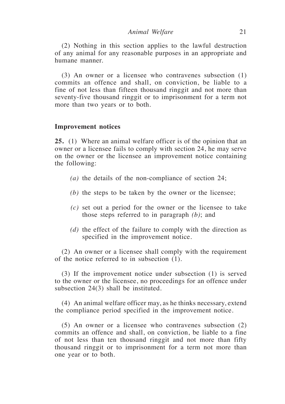(2) Nothing in this section applies to the lawful destruction of any animal for any reasonable purposes in an appropriate and humane manner.

(3) An owner or a licensee who contravenes subsection (1) commits an offence and shall, on conviction, be liable to a fine of not less than fifteen thousand ringgit and not more than seventy-five thousand ringgit or to imprisonment for a term not more than two years or to both.

#### **Improvement notices**

**25.** (1) Where an animal welfare officer is of the opinion that an owner or a licensee fails to comply with section 24, he may serve on the owner or the licensee an improvement notice containing the following:

- *(a)* the details of the non-compliance of section 24;
- *(b)* the steps to be taken by the owner or the licensee;
- *(c)* set out a period for the owner or the licensee to take those steps referred to in paragraph *(b)*; and
- *(d)* the effect of the failure to comply with the direction as specified in the improvement notice.

(2) An owner or a licensee shall comply with the requirement of the notice referred to in subsection (1).

(3) If the improvement notice under subsection (1) is served to the owner or the licensee, no proceedings for an offence under subsection 24(3) shall be instituted.

(4) An animal welfare officer may, as he thinks necessary, extend the compliance period specified in the improvement notice.

(5) An owner or a licensee who contravenes subsection (2) commits an offence and shall, on conviction, be liable to a fine of not less than ten thousand ringgit and not more than fifty thousand ringgit or to imprisonment for a term not more than one year or to both.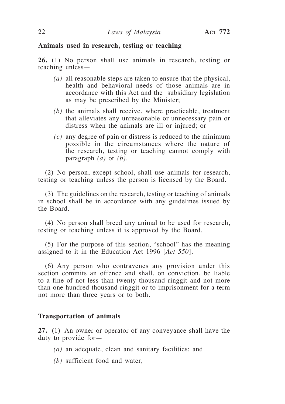### **Animals used in research, testing or teaching**

**26.** (1) No person shall use animals in research, testing or teaching unless—

- *(a)* all reasonable steps are taken to ensure that the physical, health and behavioral needs of those animals are in accordance with this Act and the subsidiary legislation as may be prescribed by the Minister;
- *(b)* the animals shall receive, where practicable, treatment that alleviates any unreasonable or unnecessary pain or distress when the animals are ill or injured; or
- *(c)* any degree of pain or distress is reduced to the minimum possible in the circumstances where the nature of the research, testing or teaching cannot comply with paragraph *(a)* or *(b)*.

(2) No person, except school, shall use animals for research, testing or teaching unless the person is licensed by the Board.

(3) The guidelines on the research, testing or teaching of animals in school shall be in accordance with any guidelines issued by the Board.

(4) No person shall breed any animal to be used for research, testing or teaching unless it is approved by the Board.

(5) For the purpose of this section, "school" has the meaning assigned to it in the Education Act 1996 [*Act 550*].

(6) Any person who contravenes any provision under this section commits an offence and shall, on conviction, be liable to a fine of not less than twenty thousand ringgit and not more than one hundred thousand ringgit or to imprisonment for a term not more than three years or to both.

# **Transportation of animals**

**27.** (1) An owner or operator of any conveyance shall have the duty to provide for—

- *(a)* an adequate, clean and sanitary facilities; and
- *(b)* sufficient food and water,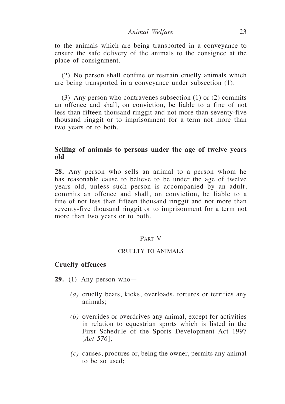to the animals which are being transported in a conveyance to ensure the safe delivery of the animals to the consignee at the place of consignment.

(2) No person shall confine or restrain cruelly animals which are being transported in a conveyance under subsection (1).

(3) Any person who contravenes subsection (1) or (2) commits an offence and shall, on conviction, be liable to a fine of not less than fifteen thousand ringgit and not more than seventy-five thousand ringgit or to imprisonment for a term not more than two years or to both.

# **Selling of animals to persons under the age of twelve years old**

**28.** Any person who sells an animal to a person whom he has reasonable cause to believe to be under the age of twelve years old, unless such person is accompanied by an adult, commits an offence and shall, on conviction, be liable to a fine of not less than fifteen thousand ringgit and not more than seventy-five thousand ringgit or to imprisonment for a term not more than two years or to both.

# Part V

#### CRUELTY TO ANIMALS

#### **Cruelty offences**

- **29.** (1) Any person who—
	- *(a)* cruelly beats, kicks, overloads, tortures or terrifies any animals;
	- *(b)* overrides or overdrives any animal, except for activities in relation to equestrian sports which is listed in the First Schedule of the Sports Development Act 1997 [*Act 576*];
	- *(c)* causes, procures or, being the owner, permits any animal to be so used;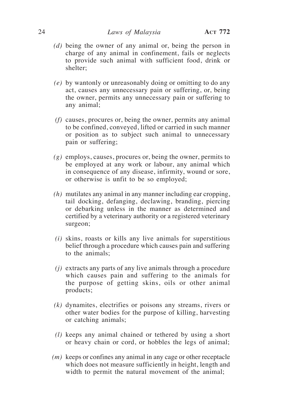- *(d)* being the owner of any animal or, being the person in charge of any animal in confinement, fails or neglects to provide such animal with sufficient food, drink or shelter;
- *(e)* by wantonly or unreasonably doing or omitting to do any act, causes any unnecessary pain or suffering, or, being the owner, permits any unnecessary pain or suffering to any animal;
- *(f)* causes, procures or, being the owner, permits any animal to be confined, conveyed, lifted or carried in such manner or position as to subject such animal to unnecessary pain or suffering;
- *(g)* employs, causes, procures or, being the owner, permits to be employed at any work or labour, any animal which in consequence of any disease, infirmity, wound or sore, or otherwise is unfit to be so employed;
- *(h)* mutilates any animal in any manner including ear cropping, tail docking, defanging, declawing, branding, piercing or debarking unless in the manner as determined and certified by a veterinary authority or a registered veterinary surgeon;
- *(i)* skins, roasts or kills any live animals for superstitious belief through a procedure which causes pain and suffering to the animals;
- *(j)* extracts any parts of any live animals through a procedure which causes pain and suffering to the animals for the purpose of getting skins, oils or other animal products;
- *(k)* dynamites, electrifies or poisons any streams, rivers or other water bodies for the purpose of killing, harvesting or catching animals;
- *(l)* keeps any animal chained or tethered by using a short or heavy chain or cord, or hobbles the legs of animal;
- *(m)* keeps or confines any animal in any cage or other receptacle which does not measure sufficiently in height, length and width to permit the natural movement of the animal;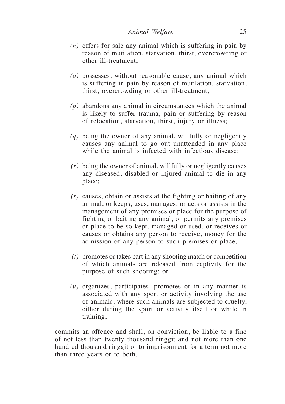- *(n)* offers for sale any animal which is suffering in pain by reason of mutilation, starvation, thirst, overcrowding or other ill-treatment;
- *(o)* possesses, without reasonable cause, any animal which is suffering in pain by reason of mutilation, starvation, thirst, overcrowding or other ill-treatment;
- *(p)* abandons any animal in circumstances which the animal is likely to suffer trauma, pain or suffering by reason of relocation, starvation, thirst, injury or illness;
- *(q)* being the owner of any animal, willfully or negligently causes any animal to go out unattended in any place while the animal is infected with infectious disease:
- *(r)* being the owner of animal, willfully or negligently causes any diseased, disabled or injured animal to die in any place;
- *(s)* causes, obtain or assists at the fighting or baiting of any animal, or keeps, uses, manages, or acts or assists in the management of any premises or place for the purpose of fighting or baiting any animal, or permits any premises or place to be so kept, managed or used, or receives or causes or obtains any person to receive, money for the admission of any person to such premises or place;
- *(t)* promotes or takes part in any shooting match or competition of which animals are released from captivity for the purpose of such shooting; or
- *(u)* organizes, participates, promotes or in any manner is associated with any sport or activity involving the use of animals, where such animals are subjected to cruelty, either during the sport or activity itself or while in training,

commits an offence and shall, on conviction, be liable to a fine of not less than twenty thousand ringgit and not more than one hundred thousand ringgit or to imprisonment for a term not more than three years or to both.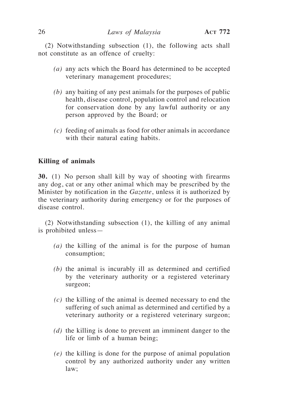(2) Notwithstanding subsection (1), the following acts shall not constitute as an offence of cruelty:

- *(a)* any acts which the Board has determined to be accepted veterinary management procedures;
- *(b)* any baiting of any pest animals for the purposes of public health, disease control, population control and relocation for conservation done by any lawful authority or any person approved by the Board; or
- *(c)* feeding of animals as food for other animals in accordance with their natural eating habits.

# **Killing of animals**

**30.** (1) No person shall kill by way of shooting with firearms any dog, cat or any other animal which may be prescribed by the Minister by notification in the *Gazette*, unless it is authorized by the veterinary authority during emergency or for the purposes of disease control.

(2) Notwithstanding subsection (1), the killing of any animal is prohibited unless—

- *(a)* the killing of the animal is for the purpose of human consumption;
- *(b)* the animal is incurably ill as determined and certified by the veterinary authority or a registered veterinary surgeon;
- *(c)* the killing of the animal is deemed necessary to end the suffering of such animal as determined and certified by a veterinary authority or a registered veterinary surgeon;
- *(d)* the killing is done to prevent an imminent danger to the life or limb of a human being;
- *(e)* the killing is done for the purpose of animal population control by any authorized authority under any written law;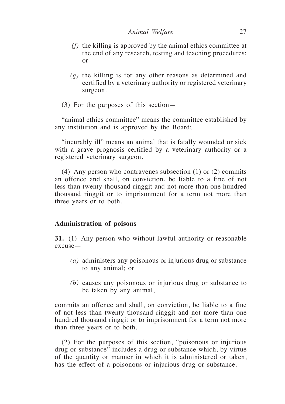- *(f)* the killing is approved by the animal ethics committee at the end of any research, testing and teaching procedures; or
- *(g)* the killing is for any other reasons as determined and certified by a veterinary authority or registered veterinary surgeon.
- (3) For the purposes of this section—

"animal ethics committee" means the committee established by any institution and is approved by the Board;

"incurably ill" means an animal that is fatally wounded or sick with a grave prognosis certified by a veterinary authority or a registered veterinary surgeon.

(4) Any person who contravenes subsection (1) or (2) commits an offence and shall, on conviction, be liable to a fine of not less than twenty thousand ringgit and not more than one hundred thousand ringgit or to imprisonment for a term not more than three years or to both.

# **Administration of poisons**

**31.** (1) Any person who without lawful authority or reasonable excuse—

- *(a)* administers any poisonous or injurious drug or substance to any animal; or
- *(b)* causes any poisonous or injurious drug or substance to be taken by any animal,

commits an offence and shall, on conviction, be liable to a fine of not less than twenty thousand ringgit and not more than one hundred thousand ringgit or to imprisonment for a term not more than three years or to both.

(2) For the purposes of this section, "poisonous or injurious drug or substance" includes a drug or substance which, by virtue of the quantity or manner in which it is administered or taken, has the effect of a poisonous or injurious drug or substance.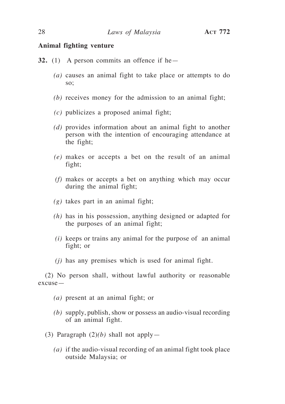#### **Animal fighting venture**

- **32.** (1) A person commits an offence if he—
	- *(a)* causes an animal fight to take place or attempts to do so;
	- *(b)* receives money for the admission to an animal fight;
	- *(c)* publicizes a proposed animal fight;
	- *(d)* provides information about an animal fight to another person with the intention of encouraging attendance at the fight;
	- *(e)* makes or accepts a bet on the result of an animal fight;
	- *(f)* makes or accepts a bet on anything which may occur during the animal fight;
	- *(g)* takes part in an animal fight;
	- *(h)* has in his possession, anything designed or adapted for the purposes of an animal fight;
	- *(i)* keeps or trains any animal for the purpose of an animal fight; or
	- *(j)* has any premises which is used for animal fight.

(2) No person shall, without lawful authority or reasonable excuse—

- *(a)* present at an animal fight; or
- *(b)* supply, publish, show or possess an audio-visual recording of an animal fight.
- (3) Paragraph (2)*(b)* shall not apply—
	- *(a)* if the audio-visual recording of an animal fight took place outside Malaysia; or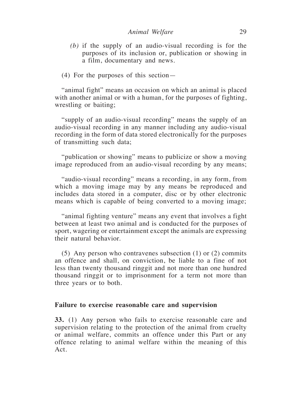- *(b)* if the supply of an audio-visual recording is for the purposes of its inclusion or, publication or showing in a film, documentary and news.
- (4) For the purposes of this section—

"animal fight" means an occasion on which an animal is placed with another animal or with a human, for the purposes of fighting, wrestling or baiting;

"supply of an audio-visual recording" means the supply of an audio-visual recording in any manner including any audio-visual recording in the form of data stored electronically for the purposes of transmitting such data;

"publication or showing" means to publicize or show a moving image reproduced from an audio-visual recording by any means;

"audio-visual recording" means a recording, in any form, from which a moving image may by any means be reproduced and includes data stored in a computer, disc or by other electronic means which is capable of being converted to a moving image;

"animal fighting venture" means any event that involves a fight between at least two animal and is conducted for the purposes of sport, wagering or entertainment except the animals are expressing their natural behavior.

(5) Any person who contravenes subsection (1) or (2) commits an offence and shall, on conviction, be liable to a fine of not less than twenty thousand ringgit and not more than one hundred thousand ringgit or to imprisonment for a term not more than three years or to both.

#### **Failure to exercise reasonable care and supervision**

**33.** (1) Any person who fails to exercise reasonable care and supervision relating to the protection of the animal from cruelty or animal welfare, commits an offence under this Part or any offence relating to animal welfare within the meaning of this Act.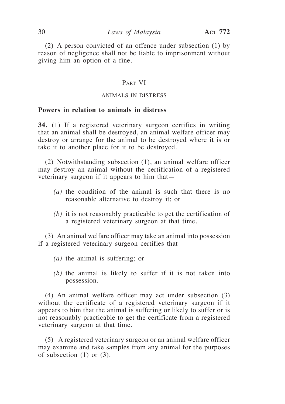(2) A person convicted of an offence under subsection (1) by reason of negligence shall not be liable to imprisonment without giving him an option of a fine.

# PART VI

#### ANIMALS IN DISTRESS

# **Powers in relation to animals in distress**

**34.** (1) If a registered veterinary surgeon certifies in writing that an animal shall be destroyed, an animal welfare officer may destroy or arrange for the animal to be destroyed where it is or take it to another place for it to be destroyed.

(2) Notwithstanding subsection (1), an animal welfare officer may destroy an animal without the certification of a registered veterinary surgeon if it appears to him that—

- *(a)* the condition of the animal is such that there is no reasonable alternative to destroy it; or
- *(b)* it is not reasonably practicable to get the certification of a registered veterinary surgeon at that time.

(3) An animal welfare officer may take an animal into possession if a registered veterinary surgeon certifies that—

- *(a)* the animal is suffering; or
- *(b)* the animal is likely to suffer if it is not taken into possession.

(4) An animal welfare officer may act under subsection (3) without the certificate of a registered veterinary surgeon if it appears to him that the animal is suffering or likely to suffer or is not reasonably practicable to get the certificate from a registered veterinary surgeon at that time.

(5) A registered veterinary surgeon or an animal welfare officer may examine and take samples from any animal for the purposes of subsection  $(1)$  or  $(3)$ .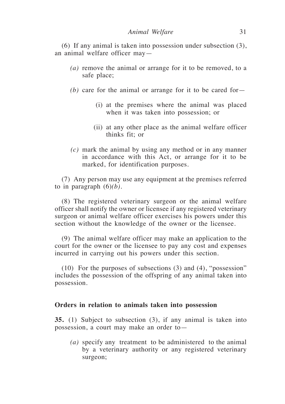*Animal Welfare* 31

(6) If any animal is taken into possession under subsection (3), an animal welfare officer may—

- *(a)* remove the animal or arrange for it to be removed, to a safe place;
- *(b)* care for the animal or arrange for it to be cared for—
	- (i) at the premises where the animal was placed when it was taken into possession; or
	- (ii) at any other place as the animal welfare officer thinks fit; or
- *(c)* mark the animal by using any method or in any manner in accordance with this Act, or arrange for it to be marked, for identification purposes.

(7) Any person may use any equipment at the premises referred to in paragraph  $(6)(b)$ .

(8) The registered veterinary surgeon or the animal welfare officer shall notify the owner or licensee if any registered veterinary surgeon or animal welfare officer exercises his powers under this section without the knowledge of the owner or the licensee.

(9) The animal welfare officer may make an application to the court for the owner or the licensee to pay any cost and expenses incurred in carrying out his powers under this section.

(10) For the purposes of subsections (3) and (4), "possession" includes the possession of the offspring of any animal taken into possession.

# **Orders in relation to animals taken into possession**

**35.** (1) Subject to subsection (3), if any animal is taken into possession, a court may make an order to—

*(a)* specify any treatment to be administered to the animal by a veterinary authority or any registered veterinary surgeon;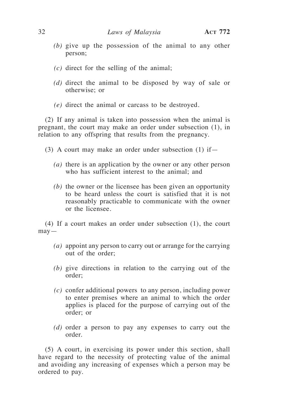- *(b)* give up the possession of the animal to any other person;
- *(c)* direct for the selling of the animal;
- *(d)* direct the animal to be disposed by way of sale or otherwise; or
- *(e)* direct the animal or carcass to be destroyed.

(2) If any animal is taken into possession when the animal is pregnant, the court may make an order under subsection (1), in relation to any offspring that results from the pregnancy.

- (3) A court may make an order under subsection  $(1)$  if
	- *(a)* there is an application by the owner or any other person who has sufficient interest to the animal; and
	- *(b)* the owner or the licensee has been given an opportunity to be heard unless the court is satisfied that it is not reasonably practicable to communicate with the owner or the licensee.

(4) If a court makes an order under subsection (1), the court  $may -$ 

- *(a)* appoint any person to carry out or arrange for the carrying out of the order;
- *(b)* give directions in relation to the carrying out of the order;
- *(c)* confer additional powers to any person, including power to enter premises where an animal to which the order applies is placed for the purpose of carrying out of the order; or
- *(d)* order a person to pay any expenses to carry out the order.

(5) A court, in exercising its power under this section, shall have regard to the necessity of protecting value of the animal and avoiding any increasing of expenses which a person may be ordered to pay.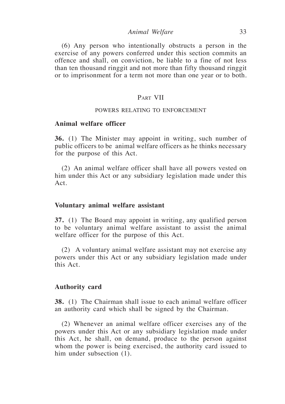*Animal Welfare* 33

(6) Any person who intentionally obstructs a person in the exercise of any powers conferred under this section commits an offence and shall, on conviction, be liable to a fine of not less than ten thousand ringgit and not more than fifty thousand ringgit or to imprisonment for a term not more than one year or to both.

#### PART VII

#### POWERS RELATING TO ENFORCEMENT

# **Animal welfare officer**

**36.** (1) The Minister may appoint in writing, such number of public officers to be animal welfare officers as he thinks necessary for the purpose of this Act.

(2) An animal welfare officer shall have all powers vested on him under this Act or any subsidiary legislation made under this Act.

#### **Voluntary animal welfare assistant**

**37.** (1) The Board may appoint in writing, any qualified person to be voluntary animal welfare assistant to assist the animal welfare officer for the purpose of this Act.

(2) A voluntary animal welfare assistant may not exercise any powers under this Act or any subsidiary legislation made under this Act.

#### **Authority card**

**38.** (1) The Chairman shall issue to each animal welfare officer an authority card which shall be signed by the Chairman.

(2) Whenever an animal welfare officer exercises any of the powers under this Act or any subsidiary legislation made under this Act, he shall, on demand, produce to the person against whom the power is being exercised, the authority card issued to him under subsection  $(1)$ .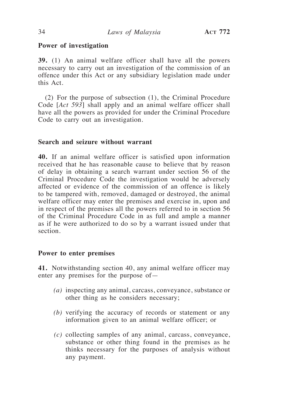# **Power of investigation**

**39.** (1) An animal welfare officer shall have all the powers necessary to carry out an investigation of the commission of an offence under this Act or any subsidiary legislation made under this Act.

(2) For the purpose of subsection (1), the Criminal Procedure Code [*Act 593*] shall apply and an animal welfare officer shall have all the powers as provided for under the Criminal Procedure Code to carry out an investigation.

# **Search and seizure without warrant**

**40.** If an animal welfare officer is satisfied upon information received that he has reasonable cause to believe that by reason of delay in obtaining a search warrant under section 56 of the Criminal Procedure Code the investigation would be adversely affected or evidence of the commission of an offence is likely to be tampered with, removed, damaged or destroyed, the animal welfare officer may enter the premises and exercise in, upon and in respect of the premises all the powers referred to in section 56 of the Criminal Procedure Code in as full and ample a manner as if he were authorized to do so by a warrant issued under that section.

## **Power to enter premises**

**41.** Notwithstanding section 40, any animal welfare officer may enter any premises for the purpose of—

- *(a)* inspecting any animal, carcass, conveyance, substance or other thing as he considers necessary;
- *(b)* verifying the accuracy of records or statement or any information given to an animal welfare officer; or
- *(c)* collecting samples of any animal, carcass, conveyance, substance or other thing found in the premises as he thinks necessary for the purposes of analysis without any payment.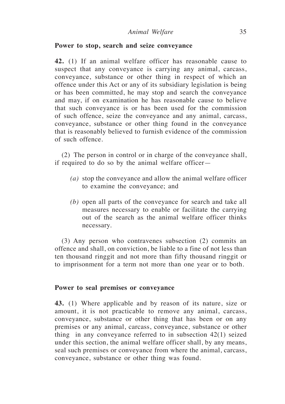#### **Power to stop, search and seize conveyance**

**42.** (1) If an animal welfare officer has reasonable cause to suspect that any conveyance is carrying any animal, carcass, conveyance, substance or other thing in respect of which an offence under this Act or any of its subsidiary legislation is being or has been committed, he may stop and search the conveyance and may, if on examination he has reasonable cause to believe that such conveyance is or has been used for the commission of such offence, seize the conveyance and any animal, carcass, conveyance, substance or other thing found in the conveyance that is reasonably believed to furnish evidence of the commission of such offence.

(2) The person in control or in charge of the conveyance shall, if required to do so by the animal welfare officer—

- *(a)* stop the conveyance and allow the animal welfare officer to examine the conveyance; and
- *(b)* open all parts of the conveyance for search and take all measures necessary to enable or facilitate the carrying out of the search as the animal welfare officer thinks necessary.

(3) Any person who contravenes subsection (2) commits an offence and shall, on conviction, be liable to a fine of not less than ten thousand ringgit and not more than fifty thousand ringgit or to imprisonment for a term not more than one year or to both.

#### **Power to seal premises or conveyance**

**43.** (1) Where applicable and by reason of its nature, size or amount, it is not practicable to remove any animal, carcass, conveyance, substance or other thing that has been or on any premises or any animal, carcass, conveyance, substance or other thing in any conveyance referred to in subsection 42(1) seized under this section, the animal welfare officer shall, by any means, seal such premises or conveyance from where the animal, carcass, conveyance, substance or other thing was found.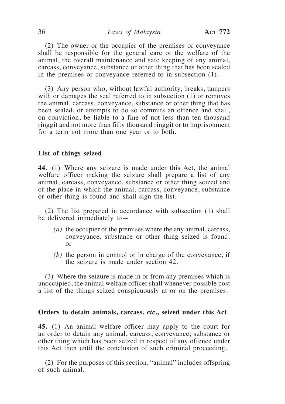#### 36 *Laws of Malaysia* **Act 772**

(2) The owner or the occupier of the premises or conveyance shall be responsible for the general care or the welfare of the animal, the overall maintenance and safe keeping of any animal, carcass, conveyance, substance or other thing that has been sealed in the premises or conveyance referred to in subsection (1).

(3) Any person who, without lawful authority, breaks, tampers with or damages the seal referred to in subsection (1) or removes the animal, carcass, conveyance, substance or other thing that has been sealed, or attempts to do so commits an offence and shall, on conviction, be liable to a fine of not less than ten thousand ringgit and not more than fifty thousand ringgit or to imprisonment for a term not more than one year or to both.

#### **List of things seized**

**44.** (1) Where any seizure is made under this Act, the animal welfare officer making the seizure shall prepare a list of any animal, carcass, conveyance, substance or other thing seized and of the place in which the animal, carcass, conveyance, substance or other thing is found and shall sign the list.

(2) The list prepared in accordance with subsection (1) shall be delivered immediately to—

- *(a)* the occupier of the premises where the any animal, carcass, conveyance, substance or other thing seized is found; or
- *(b)* the person in control or in charge of the conveyance, if the seizure is made under section 42.

(3) Where the seizure is made in or from any premises which is unoccupied, the animal welfare officer shall whenever possible post a list of the things seized conspicuously at or on the premises.

#### **Orders to detain animals, carcass,** *etc***., seized under this Act**

**45.** (1) An animal welfare officer may apply to the court for an order to detain any animal, carcass, conveyance, substance or other thing which has been seized in respect of any offence under this Act then until the conclusion of such criminal proceeding.

(2) For the purposes of this section, "animal" includes offspring of such animal.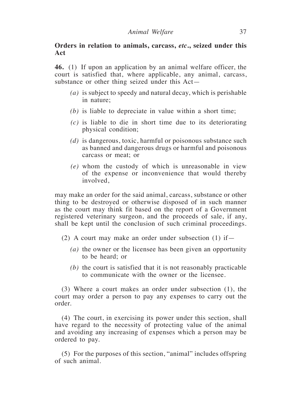# **Orders in relation to animals, carcass,** *etc***., seized under this Act**

**46.** (1) If upon an application by an animal welfare officer, the court is satisfied that, where applicable, any animal, carcass, substance or other thing seized under this Act—

- *(a)* is subject to speedy and natural decay, which is perishable in nature;
- *(b)* is liable to depreciate in value within a short time;
- *(c)* is liable to die in short time due to its deteriorating physical condition;
- *(d)* is dangerous, toxic, harmful or poisonous substance such as banned and dangerous drugs or harmful and poisonous carcass or meat; or
- *(e)* whom the custody of which is unreasonable in view of the expense or inconvenience that would thereby involved,

may make an order for the said animal, carcass, substance or other thing to be destroyed or otherwise disposed of in such manner as the court may think fit based on the report of a Government registered veterinary surgeon, and the proceeds of sale, if any, shall be kept until the conclusion of such criminal proceedings.

(2) A court may make an order under subsection  $(1)$  if —

- *(a)* the owner or the licensee has been given an opportunity to be heard; or
- *(b)* the court is satisfied that it is not reasonably practicable to communicate with the owner or the licensee.

(3) Where a court makes an order under subsection (1), the court may order a person to pay any expenses to carry out the order.

(4) The court, in exercising its power under this section, shall have regard to the necessity of protecting value of the animal and avoiding any increasing of expenses which a person may be ordered to pay.

(5) For the purposes of this section, "animal" includes offspring of such animal.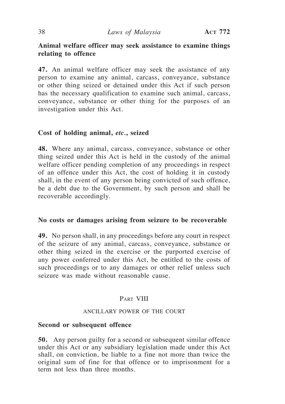# **Animal welfare officer may seek assistance to examine things relating to offence**

**47.** An animal welfare officer may seek the assistance of any person to examine any animal, carcass, conveyance, substance or other thing seized or detained under this Act if such person has the necessary qualification to examine such animal, carcass, conveyance, substance or other thing for the purposes of an investigation under this Act.

# **Cost of holding animal,** *etc.***, seized**

**48.** Where any animal, carcass, conveyance, substance or other thing seized under this Act is held in the custody of the animal welfare officer pending completion of any proceedings in respect of an offence under this Act, the cost of holding it in custody shall, in the event of any person being convicted of such offence, be a debt due to the Government, by such person and shall be recoverable accordingly.

# **No costs or damages arising from seizure to be recoverable**

**49.** No person shall, in any proceedings before any court in respect of the seizure of any animal, carcass, conveyance, substance or other thing seized in the exercise or the purported exercise of any power conferred under this Act, be entitled to the costs of such proceedings or to any damages or other relief unless such seizure was made without reasonable cause.

# PART VIII

#### ANCILLARY POWER OF THE COURT

#### **Second or subsequent offence**

**50.** Any person guilty for a second or subsequent similar offence under this Act or any subsidiary legislation made under this Act shall, on conviction, be liable to a fine not more than twice the original sum of fine for that offence or to imprisonment for a term not less than three months.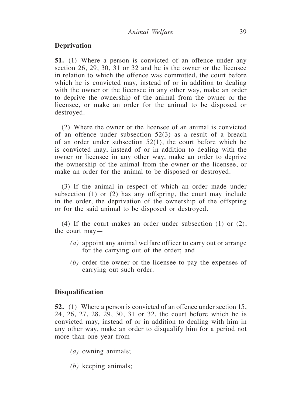# **Deprivation**

**51.** (1) Where a person is convicted of an offence under any section 26, 29, 30, 31 or 32 and he is the owner or the licensee in relation to which the offence was committed, the court before which he is convicted may, instead of or in addition to dealing with the owner or the licensee in any other way, make an order to deprive the ownership of the animal from the owner or the licensee, or make an order for the animal to be disposed or destroyed.

(2) Where the owner or the licensee of an animal is convicted of an offence under subsection 52(3) as a result of a breach of an order under subsection 52(1), the court before which he is convicted may, instead of or in addition to dealing with the owner or licensee in any other way, make an order to deprive the ownership of the animal from the owner or the licensee, or make an order for the animal to be disposed or destroyed.

(3) If the animal in respect of which an order made under subsection (1) or (2) has any offspring, the court may include in the order, the deprivation of the ownership of the offspring or for the said animal to be disposed or destroyed.

(4) If the court makes an order under subsection (1) or (2), the court may—

- *(a)* appoint any animal welfare officer to carry out or arrange for the carrying out of the order; and
- *(b)* order the owner or the licensee to pay the expenses of carrying out such order.

#### **Disqualification**

**52.** (1) Where a person is convicted of an offence under section 15, 24, 26, 27, 28, 29, 30, 31 or 32, the court before which he is convicted may, instead of or in addition to dealing with him in any other way, make an order to disqualify him for a period not more than one year from—

- *(a)* owning animals;
- *(b)* keeping animals;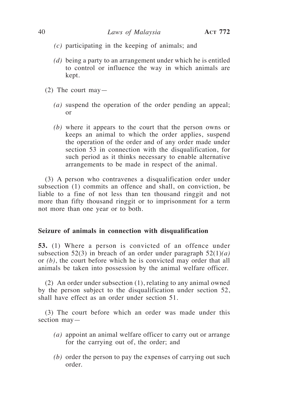- *(c)* participating in the keeping of animals; and
- *(d)* being a party to an arrangement under which he is entitled to control or influence the way in which animals are kept.
- (2) The court may—
	- *(a)* suspend the operation of the order pending an appeal; or
	- *(b)* where it appears to the court that the person owns or keeps an animal to which the order applies, suspend the operation of the order and of any order made under section 53 in connection with the disqualification, for such period as it thinks necessary to enable alternative arrangements to be made in respect of the animal.

(3) A person who contravenes a disqualification order under subsection (1) commits an offence and shall, on conviction, be liable to a fine of not less than ten thousand ringgit and not more than fifty thousand ringgit or to imprisonment for a term not more than one year or to both.

#### **Seizure of animals in connection with disqualification**

**53.** (1) Where a person is convicted of an offence under subsection 52(3) in breach of an order under paragraph 52(1)*(a)* or *(b)*, the court before which he is convicted may order that all animals be taken into possession by the animal welfare officer.

(2) An order under subsection (1), relating to any animal owned by the person subject to the disqualification under section 52, shall have effect as an order under section 51.

(3) The court before which an order was made under this section may—

- *(a)* appoint an animal welfare officer to carry out or arrange for the carrying out of, the order; and
- *(b)* order the person to pay the expenses of carrying out such order.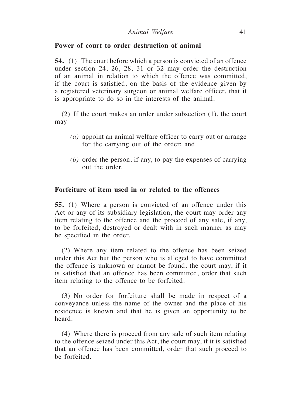# **Power of court to order destruction of animal**

**54.** (1) The court before which a person is convicted of an offence under section 24, 26, 28, 31 or 32 may order the destruction of an animal in relation to which the offence was committed, if the court is satisfied, on the basis of the evidence given by a registered veterinary surgeon or animal welfare officer, that it is appropriate to do so in the interests of the animal.

(2) If the court makes an order under subsection (1), the court may—

- *(a)* appoint an animal welfare officer to carry out or arrange for the carrying out of the order; and
- *(b)* order the person, if any, to pay the expenses of carrying out the order.

# **Forfeiture of item used in or related to the offences**

**55.** (1) Where a person is convicted of an offence under this Act or any of its subsidiary legislation, the court may order any item relating to the offence and the proceed of any sale, if any, to be forfeited, destroyed or dealt with in such manner as may be specified in the order.

(2) Where any item related to the offence has been seized under this Act but the person who is alleged to have committed the offence is unknown or cannot be found, the court may, if it is satisfied that an offence has been committed, order that such item relating to the offence to be forfeited.

(3) No order for forfeiture shall be made in respect of a conveyance unless the name of the owner and the place of his residence is known and that he is given an opportunity to be heard.

(4) Where there is proceed from any sale of such item relating to the offence seized under this Act, the court may, if it is satisfied that an offence has been committed, order that such proceed to be forfeited.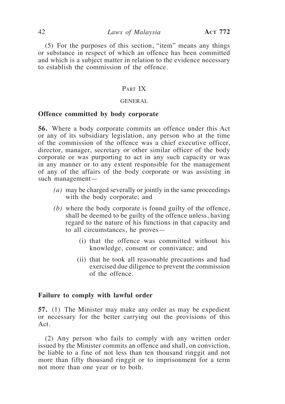(5) For the purposes of this section, "item" means any things or substance in respect of which an offence has been committed and which is a subject matter in relation to the evidence necessary to establish the commission of the offence.

# PART IX

#### GENERAL

# **Offence committed by body corporate**

**56.** Where a body corporate commits an offence under this Act or any of its subsidiary legislation, any person who at the time of the commission of the offence was a chief executive officer, director, manager, secretary or other similar officer of the body corporate or was purporting to act in any such capacity or was in any manner or to any extent responsible for the management of any of the affairs of the body corporate or was assisting in such management—

- *(a)* may be charged severally or jointly in the same proceedings with the body corporate; and
- *(b)* where the body corporate is found guilty of the offence, shall be deemed to be guilty of the offence unless, having regard to the nature of his functions in that capacity and to all circumstances, he proves—
	- (i) that the offence was committed without his knowledge, consent or connivance; and
	- (ii) that he took all reasonable precautions and had exercised due diligence to prevent the commission of the offence.

#### **Failure to comply with lawful order**

**57.** (1) The Minister may make any order as may be expedient or necessary for the better carrying out the provisions of this Act.

(2) Any person who fails to comply with any written order issued by the Minister commits an offence and shall, on conviction, be liable to a fine of not less than ten thousand ringgit and not more than fifty thousand ringgit or to imprisonment for a term not more than one year or to both.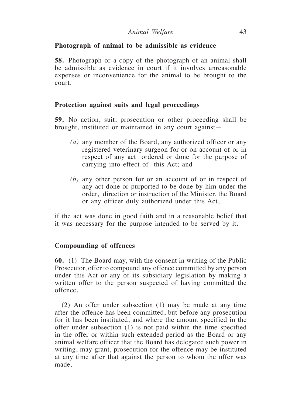# **Photograph of animal to be admissible as evidence**

**58.** Photograph or a copy of the photograph of an animal shall be admissible as evidence in court if it involves unreasonable expenses or inconvenience for the animal to be brought to the court.

# **Protection against suits and legal proceedings**

**59.** No action, suit, prosecution or other proceeding shall be brought, instituted or maintained in any court against—

- *(a)* any member of the Board, any authorized officer or any registered veterinary surgeon for or on account of or in respect of any act ordered or done for the purpose of carrying into effect of this Act; and
- *(b)* any other person for or an account of or in respect of any act done or purported to be done by him under the order, direction or instruction of the Minister, the Board or any officer duly authorized under this Act,

if the act was done in good faith and in a reasonable belief that it was necessary for the purpose intended to be served by it.

# **Compounding of offences**

**60.** (1) The Board may, with the consent in writing of the Public Prosecutor, offer to compound any offence committed by any person under this Act or any of its subsidiary legislation by making a written offer to the person suspected of having committed the offence.

(2) An offer under subsection (1) may be made at any time after the offence has been committed, but before any prosecution for it has been instituted, and where the amount specified in the offer under subsection (1) is not paid within the time specified in the offer or within such extended period as the Board or any animal welfare officer that the Board has delegated such power in writing, may grant, prosecution for the offence may be instituted at any time after that against the person to whom the offer was made.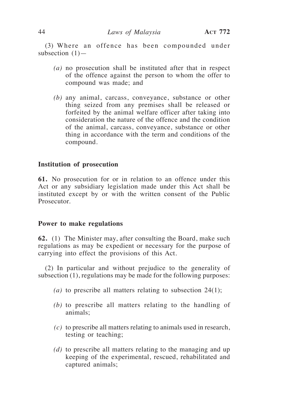(3) Where an offence has been compounded under subsection (1)—

- *(a)* no prosecution shall be instituted after that in respect of the offence against the person to whom the offer to compound was made; and
- *(b)* any animal, carcass, conveyance, substance or other thing seized from any premises shall be released or forfeited by the animal welfare officer after taking into consideration the nature of the offence and the condition of the animal, carcass, conveyance, substance or other thing in accordance with the term and conditions of the compound.

#### **Institution of prosecution**

**61.** No prosecution for or in relation to an offence under this Act or any subsidiary legislation made under this Act shall be instituted except by or with the written consent of the Public Prosecutor.

#### **Power to make regulations**

**62.** (1) The Minister may, after consulting the Board, make such regulations as may be expedient or necessary for the purpose of carrying into effect the provisions of this Act.

(2) In particular and without prejudice to the generality of subsection (1), regulations may be made for the following purposes:

- *(a)* to prescribe all matters relating to subsection 24(1);
- *(b)* to prescribe all matters relating to the handling of animals;
- *(c)* to prescribe all matters relating to animals used in research, testing or teaching;
- *(d)* to prescribe all matters relating to the managing and up keeping of the experimental, rescued, rehabilitated and captured animals;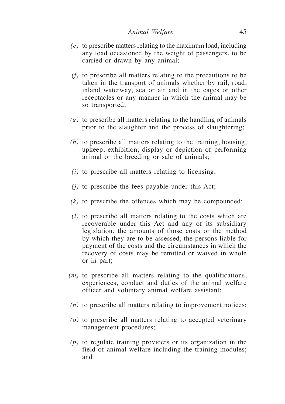- *(e)* to prescribe matters relating to the maximum load, including any load occasioned by the weight of passengers, to be carried or drawn by any animal;
- *(f)* to prescribe all matters relating to the precautions to be taken in the transport of animals whether by rail, road, inland waterway, sea or air and in the cages or other receptacles or any manner in which the animal may be so transported;
- *(g)* to prescribe all matters relating to the handling of animals prior to the slaughter and the process of slaughtering;
- *(h)* to prescribe all matters relating to the training, housing, upkeep, exhibition, display or depiction of performing animal or the breeding or sale of animals;
- *(i)* to prescribe all matters relating to licensing;
- *(j)* to prescribe the fees payable under this Act;
- *(k)* to prescribe the offences which may be compounded;
- *(l)* to prescribe all matters relating to the costs which are recoverable under this Act and any of its subsidiary legislation, the amounts of those costs or the method by which they are to be assessed, the persons liable for payment of the costs and the circumstances in which the recovery of costs may be remitted or waived in whole or in part;
- *(m)* to prescribe all matters relating to the qualifications, experiences, conduct and duties of the animal welfare officer and voluntary animal welfare assistant;
- *(n)* to prescribe all matters relating to improvement notices;
- *(o)* to prescribe all matters relating to accepted veterinary management procedures;
- *(p)* to regulate training providers or its organization in the field of animal welfare including the training modules; and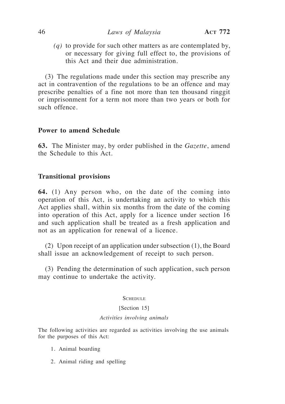*(q)* to provide for such other matters as are contemplated by, or necessary for giving full effect to, the provisions of this Act and their due administration.

(3) The regulations made under this section may prescribe any act in contravention of the regulations to be an offence and may prescribe penalties of a fine not more than ten thousand ringgit or imprisonment for a term not more than two years or both for such offence.

#### **Power to amend Schedule**

**63.** The Minister may, by order published in the *Gazette*, amend the Schedule to this Act.

#### **Transitional provisions**

**64.** (1) Any person who, on the date of the coming into operation of this Act, is undertaking an activity to which this Act applies shall, within six months from the date of the coming into operation of this Act, apply for a licence under section 16 and such application shall be treated as a fresh application and not as an application for renewal of a licence.

(2) Upon receipt of an application under subsection (1), the Board shall issue an acknowledgement of receipt to such person.

(3) Pending the determination of such application, such person may continue to undertake the activity.

#### **SCHEDULE**

#### [Section 15]

#### *Activities involving animals*

The following activities are regarded as activities involving the use animals for the purposes of this Act:

- 1. Animal boarding
- 2. Animal riding and spelling